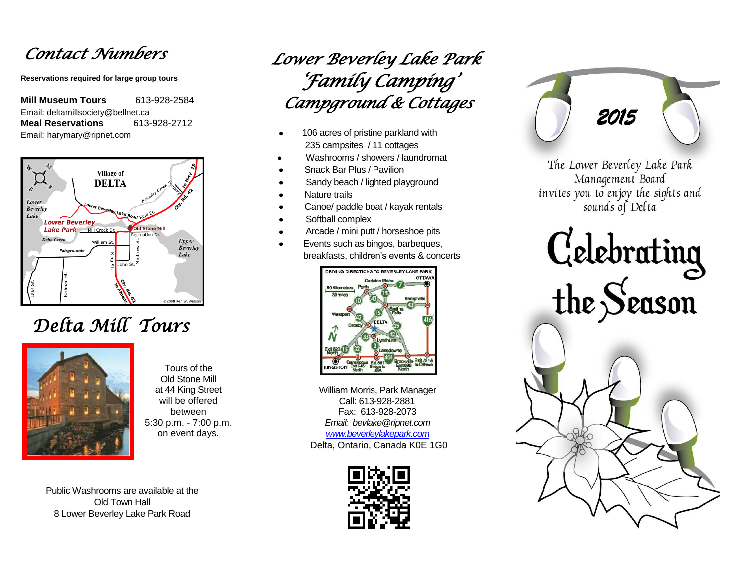## *Contact Numbers*

**Reservations required for large group tours**

**Mill Museum Tours** 613-928-2584 Email: deltamillsociety@bellnet.ca **Meal Reservations** 613-928-2712 Email: harymary@ripnet.com



## *Delta Mill Tours*



Tours of the Old Stone Mill at 44 King Street will be offered between 5:30 p.m. - 7:00 p.m. on event days.

Public Washrooms are available at the Old Town Hall 8 Lower Beverley Lake Park Road

## *Lower Beverley Lake Park 'Family Camping' Campground & Cottages*

- 106 acres of pristine parkland with 235 campsites / 11 cottages
- Washrooms / showers / laundromat
- Snack Bar Plus / Pavilion
- Sandy beach / lighted playground
- Nature trails
- Canoe/ paddle boat / kayak rentals
- Softball complex
- Arcade / mini putt / horseshoe pits
- Events such as bingos, barbeques, breakfasts, children's events & concerts



William Morris, Park Manager Call: 613-928-2881 Fax: 613-928-2073 *Email: bevlake@ripnet.com [www.beverleylakepark.com](https://www.beverleylakepark.com/)* Delta, Ontario, Canada K0E 1G0



*2015* 

The Lower Beverley Lake Park Management Board invites you to enjoy the sights and sounds of Delta